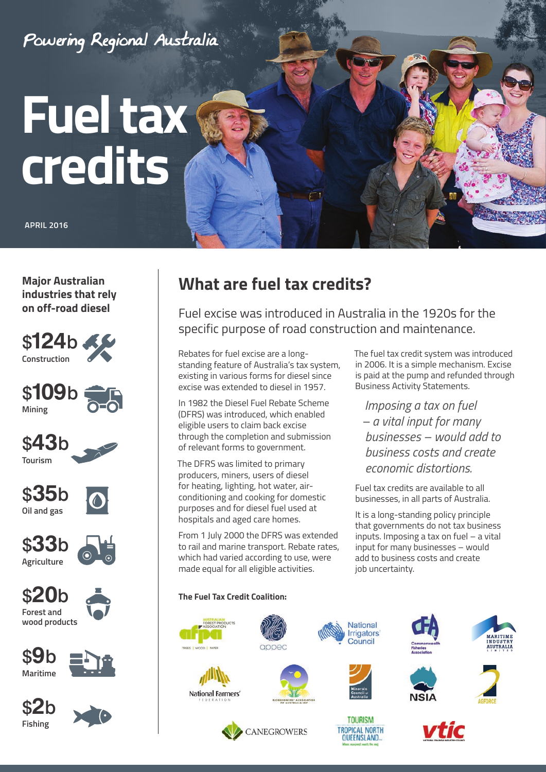

**Major Australian industries that rely on off-road diesel**

























# **What are fuel tax credits?**

Fuel excise was introduced in Australia in the 1920s for the specific purpose of road construction and maintenance.

Rebates for fuel excise are a longstanding feature of Australia's tax system, existing in various forms for diesel since excise was extended to diesel in 1957.

In 1982 the Diesel Fuel Rebate Scheme (DFRS) was introduced, which enabled eligible users to claim back excise through the completion and submission of relevant forms to government.

The DFRS was limited to primary producers, miners, users of diesel for heating, lighting, hot water, airconditioning and cooking for domestic purposes and for diesel fuel used at hospitals and aged care homes.

From 1 July 2000 the DFRS was extended to rail and marine transport. Rebate rates, which had varied according to use, were made equal for all eligible activities.

The fuel tax credit system was introduced in 2006. It is a simple mechanism. Excise is paid at the pump and refunded through Business Activity Statements.

*Imposing a tax on fuel – a vital input for many businesses – would add to business costs and create economic distortions.*

Fuel tax credits are available to all businesses, in all parts of Australia.

It is a long-standing policy principle that governments do not tax business inputs. Imposing a tax on fuel – a vital input for many businesses – would add to business costs and create job uncertainty.

### **The Fuel Tax Credit Coalition:**



National Farmers'





**TOURISM** 

**TROPICAL NORTH** 

QUEENSLAND.











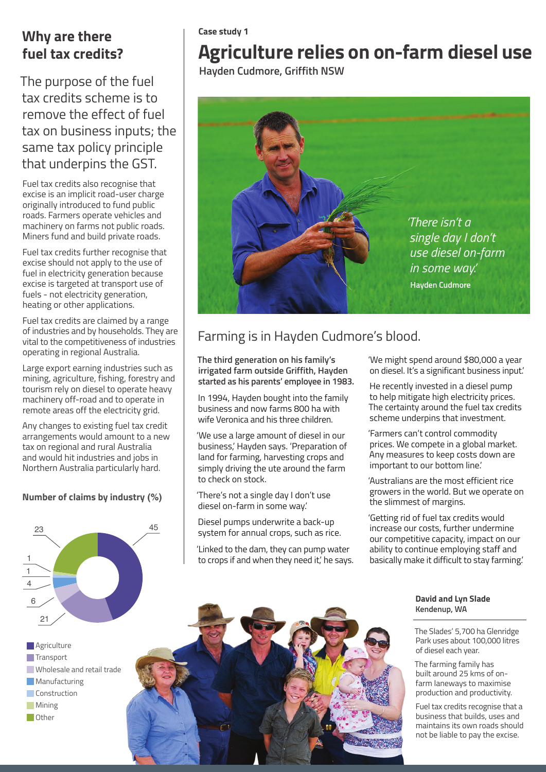## **Why are there fuel tax credits?**

The purpose of the fuel tax credits scheme is to remove the effect of fuel tax on business inputs; the same tax policy principle that underpins the GST.

Fuel tax credits also recognise that excise is an implicit road-user charge originally introduced to fund public roads. Farmers operate vehicles and machinery on farms not public roads. Miners fund and build private roads.

Fuel tax credits further recognise that excise should not apply to the use of fuel in electricity generation because excise is targeted at transport use of fuels - not electricity generation, heating or other applications.

Fuel tax credits are claimed by a range of industries and by households. They are vital to the competitiveness of industries operating in regional Australia.

Large export earning industries such as mining, agriculture, fishing, forestry and tourism rely on diesel to operate heavy machinery off-road and to operate in remote areas off the electricity grid.

Any changes to existing fuel tax credit arrangements would amount to a new tax on regional and rural Australia and would hit industries and jobs in Northern Australia particularly hard.

### **Number of claims by industry (%)**



**Agriculture Transport Wholesale and retail trade Manufacturing Construction Mining Other** 

#### **Case study 1**

# **Agriculture relies on on-farm diesel use**

 **Hayden Cudmore, Griffith NSW**



## Farming is in Hayden Cudmore's blood.

**The third generation on his family's irrigated farm outside Griffith, Hayden started as his parents' employee in 1983.**

In 1994, Hayden bought into the family business and now farms 800 ha with wife Veronica and his three children.

'We use a large amount of diesel in our business,' Hayden says. 'Preparation of land for farming, harvesting crops and simply driving the ute around the farm to check on stock.

'There's not a single day I don't use diesel on-farm in some way.'

Diesel pumps underwrite a back-up system for annual crops, such as rice.

'Linked to the dam, they can pump water to crops if and when they need it', he savs. 'We might spend around \$80,000 a year on diesel. It's a significant business input.'

He recently invested in a diesel pump to help mitigate high electricity prices. The certainty around the fuel tax credits scheme underpins that investment.

'Farmers can't control commodity prices. We compete in a global market. Any measures to keep costs down are important to our bottom line.'

'Australians are the most efficient rice growers in the world. But we operate on the slimmest of margins.

'Getting rid of fuel tax credits would increase our costs, further undermine our competitive capacity, impact on our ability to continue employing staff and basically make it difficult to stay farming.'

> **David and Lyn Slade Kendenup, WA**

The Slades' 5,700 ha Glenridge Park uses about 100,000 litres of diesel each year.

The farming family has built around 25 kms of onfarm laneways to maximise production and productivity.

Fuel tax credits recognise that a business that builds, uses and maintains its own roads should not be liable to pay the excise.

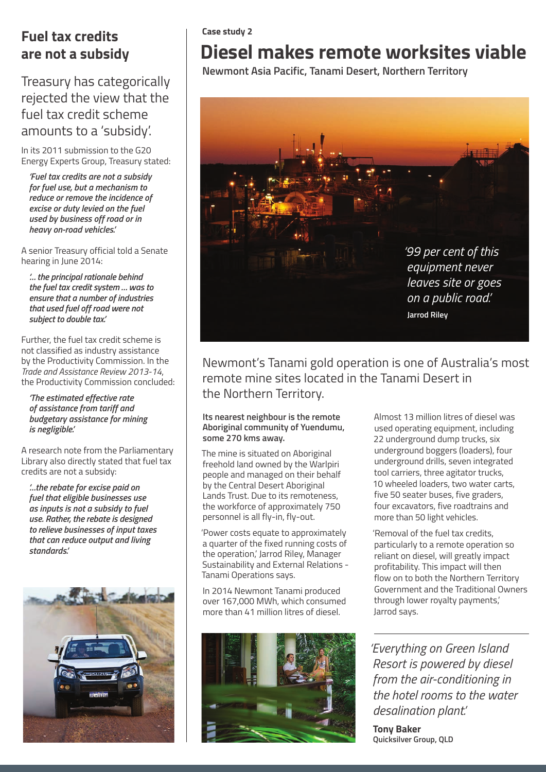## **Fuel tax credits are not a subsidy**

## Treasury has categorically rejected the view that the fuel tax credit scheme amounts to a 'subsidy'.

In its 2011 submission to the G20 Energy Experts Group, Treasury stated:

*'Fuel tax credits are not a subsidy for fuel use, but a mechanism to reduce or remove the incidence of excise or duty levied on the fuel used by business off road or in heavy on-road vehicles.'*

A senior Treasury official told a Senate hearing in June 2014:

*'… the principal rationale behind the fuel tax credit system … was to ensure that a number of industries that used fuel off road were not subject to double tax.'*

Further, the fuel tax credit scheme is not classified as industry assistance by the Productivity Commission. In the *Trade and Assistance Review 2013-14*, the Productivity Commission concluded:

*'The estimated effective rate of assistance from tariff and budgetary assistance for mining is negligible.'*

A research note from the Parliamentary Library also directly stated that fuel tax credits are not a subsidy:

*'…the rebate for excise paid on fuel that eligible businesses use as inputs is not a subsidy to fuel use. Rather, the rebate is designed to relieve businesses of input taxes that can reduce output and living standards.'*



### **Case study 2**

# **Diesel makes remote worksites viable**

 **Newmont Asia Pacific, Tanami Desert, Northern Territory**



Newmont's Tanami gold operation is one of Australia's most remote mine sites located in the Tanami Desert in the Northern Territory.

#### **Its nearest neighbour is the remote Aboriginal community of Yuendumu, some 270 kms away.**

The mine is situated on Aboriginal freehold land owned by the Warlpiri people and managed on their behalf by the Central Desert Aboriginal Lands Trust. Due to its remoteness, the workforce of approximately 750 personnel is all fly-in, fly-out.

'Power costs equate to approximately a quarter of the fixed running costs of the operation,' Jarrod Riley, Manager Sustainability and External Relations - Tanami Operations says.

In 2014 Newmont Tanami produced over 167,000 MWh, which consumed more than 41 million litres of diesel.



Almost 13 million litres of diesel was used operating equipment, including 22 underground dump trucks, six underground boggers (loaders), four underground drills, seven integrated tool carriers, three agitator trucks, 10 wheeled loaders, two water carts, five 50 seater buses, five graders, four excavators, five roadtrains and more than 50 light vehicles.

'Removal of the fuel tax credits, particularly to a remote operation so reliant on diesel, will greatly impact profitability. This impact will then flow on to both the Northern Territory Government and the Traditional Owners through lower royalty payments,' Jarrod says.

*'Everything on Green Island Resort is powered by diesel from the air-conditioning in the hotel rooms to the water desalination plant.'*

**Tony Baker Quicksilver Group, QLD**